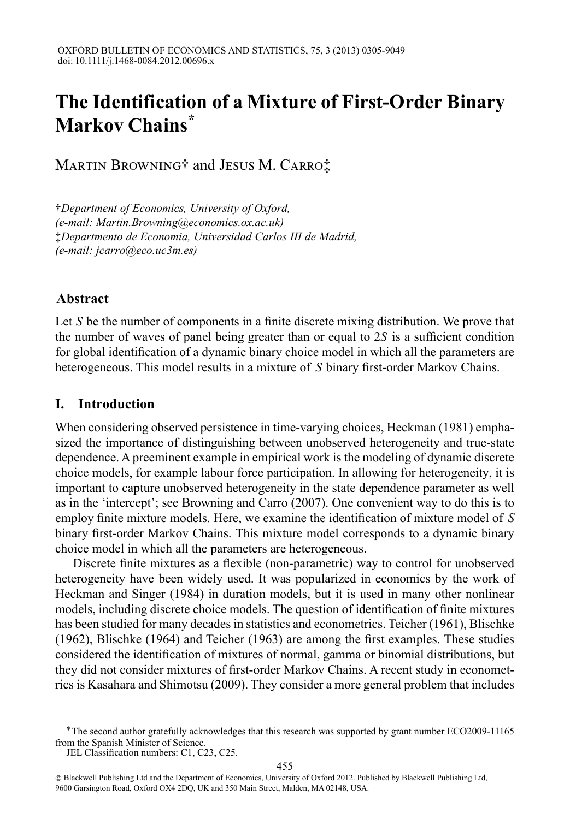# **The Identification of a Mixture of First-Order Binary Markov Chains\***

Martin Browning† and Jesus M. Carro‡

†*Department of Economics, University of Oxford, (e-mail: Martin.Browning@economics.ox.ac.uk)* ‡*Departmento de Economia, Universidad Carlos III de Madrid, (e-mail: jcarro@eco.uc3m.es)*

# **Abstract**

Let *S* be the number of components in a finite discrete mixing distribution. We prove that the number of waves of panel being greater than or equal to 2*S* is a sufficient condition for global identification of a dynamic binary choice model in which all the parameters are heterogeneous. This model results in a mixture of *S* binary first-order Markov Chains.

## **I. Introduction**

When considering observed persistence in time-varying choices, Heckman (1981) emphasized the importance of distinguishing between unobserved heterogeneity and true-state dependence. A preeminent example in empirical work is the modeling of dynamic discrete choice models, for example labour force participation. In allowing for heterogeneity, it is important to capture unobserved heterogeneity in the state dependence parameter as well as in the 'intercept'; see Browning and Carro (2007). One convenient way to do this is to employ finite mixture models. Here, we examine the identification of mixture model of *S* binary first-order Markov Chains. This mixture model corresponds to a dynamic binary choice model in which all the parameters are heterogeneous.

Discrete finite mixtures as a flexible (non-parametric) way to control for unobserved heterogeneity have been widely used. It was popularized in economics by the work of Heckman and Singer (1984) in duration models, but it is used in many other nonlinear models, including discrete choice models. The question of identification of finite mixtures has been studied for many decades in statistics and econometrics. Teicher (1961), Blischke (1962), Blischke (1964) and Teicher (1963) are among the first examples. These studies considered the identification of mixtures of normal, gamma or binomial distributions, but they did not consider mixtures of first-order Markov Chains. A recent study in econometrics is Kasahara and Shimotsu (2009). They consider a more general problem that includes

ÅThe second author gratefully acknowledges that this research was supported by grant number ECO2009-11165 from the Spanish Minister of Science.

JEL Classification numbers: C1, C23, C25.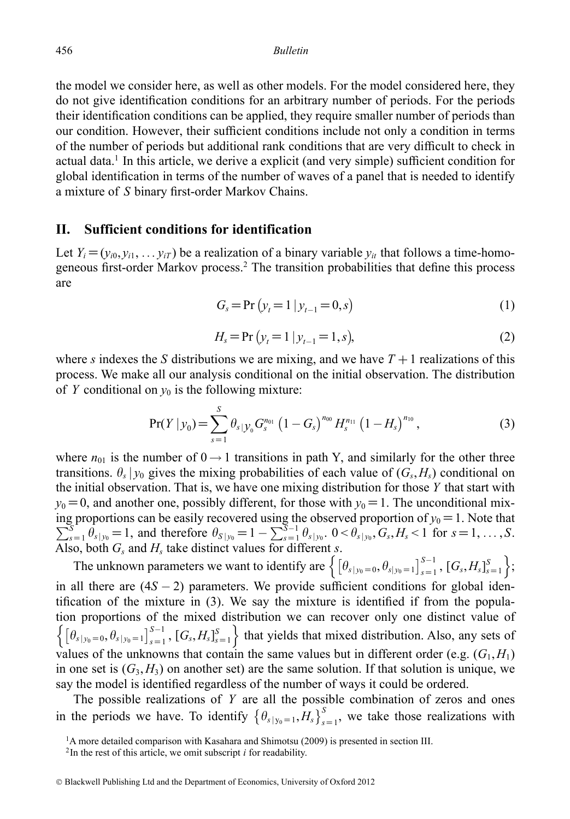the model we consider here, as well as other models. For the model considered here, they do not give identification conditions for an arbitrary number of periods. For the periods their identification conditions can be applied, they require smaller number of periods than our condition. However, their sufficient conditions include not only a condition in terms of the number of periods but additional rank conditions that are very difficult to check in actual data.<sup>1</sup> In this article, we derive a explicit (and very simple) sufficient condition for global identification in terms of the number of waves of a panel that is needed to identify a mixture of *S* binary first-order Markov Chains.

### **II. Sufficient conditions for identification**

Let  $Y_i = (y_{i0}, y_{i1}, \dots, y_{iT})$  be a realization of a binary variable  $y_{it}$  that follows a time-homogeneous first-order Markov process.2 The transition probabilities that define this process are

$$
G_s = Pr (y_t = 1 | y_{t-1} = 0, s)
$$
\n(1)

$$
H_s = \Pr(y_t = 1 | y_{t-1} = 1, s), \tag{2}
$$

where *s* indexes the *S* distributions we are mixing, and we have  $T + 1$  realizations of this process. We make all our analysis conditional on the initial observation. The distribution of *Y* conditional on  $y_0$  is the following mixture:

$$
\Pr(Y \mid y_0) = \sum_{s=1}^{S} \theta_{s \mid y_0} G_s^{n_{01}} \left( 1 - G_s \right)^{n_{00}} H_s^{n_{11}} \left( 1 - H_s \right)^{n_{10}}, \tag{3}
$$

where  $n_{01}$  is the number of  $0 \rightarrow 1$  transitions in path Y, and similarly for the other three transitions.  $\theta_s$  |  $y_0$  gives the mixing probabilities of each value of  $(G_s, H_s)$  conditional on the initial observation. That is, we have one mixing distribution for those *Y* that start with  $y_0 = 0$ , and another one, possibly different, for those with  $y_0 = 1$ . The unconditional mixing proportions can be easily recovered using the observed proportion of  $\sum$ proportions can be easily recovered using the observed proportion of  $y_0 = 1$ . Note that  $S_{s=1} \theta_{s|y_0} = 1$ , and therefore  $\theta_{S|y_0} = 1 - \sum_{s=1}^{S-1} \theta_{s|y_0}$ .  $0 < \theta_{s|y_0}$ ,  $G_s$ ,  $H_s < 1$  for  $s = 1, ..., S$ . Also, both  $G_s$  and  $H_s$  take distinct values for different *s*.

The unknown parameters we want to identify are  $\left\{ \left[ \theta_{s|y_0=0}, \theta_{s|y_0=1} \right]_{s=1}^{S-1}, \left[ G_s, H_s \right]_{s=1}^S \right\};$ in all there are  $(4S - 2)$  parameters. We provide sufficient conditions for global identification of the mixture in (3). We say the mixture is identified if from the population proportions of the mixed distribution we can recover only one distinct value of  $\left\{ \left[ \theta_{s|y_0=0}, \theta_{s|y_0=1} \right]_{s=1}^{S-1}, \left[ G_s, H_s \right]_{s=1}^{S} \right\}$  that yields that mixed distribution. Also, any sets of values of the unknowns that contain the same values but in different order (e.g.  $(G_1, H_1)$ ) in one set is  $(G_3, H_3)$  on another set) are the same solution. If that solution is unique, we say the model is identified regardless of the number of ways it could be ordered.

The possible realizations of *Y* are all the possible combination of zeros and ones in the periods we have. To identify  $\left\{\theta_{s|y_0=1}, H_s\right\}_{s=1}^S$ , we take those realizations with

<sup>&</sup>lt;sup>1</sup>A more detailed comparison with Kasahara and Shimotsu (2009) is presented in section III.

 $2$ In the rest of this article, we omit subscript *i* for readability.

<sup>©</sup> Blackwell Publishing Ltd and the Department of Economics, University of Oxford 2012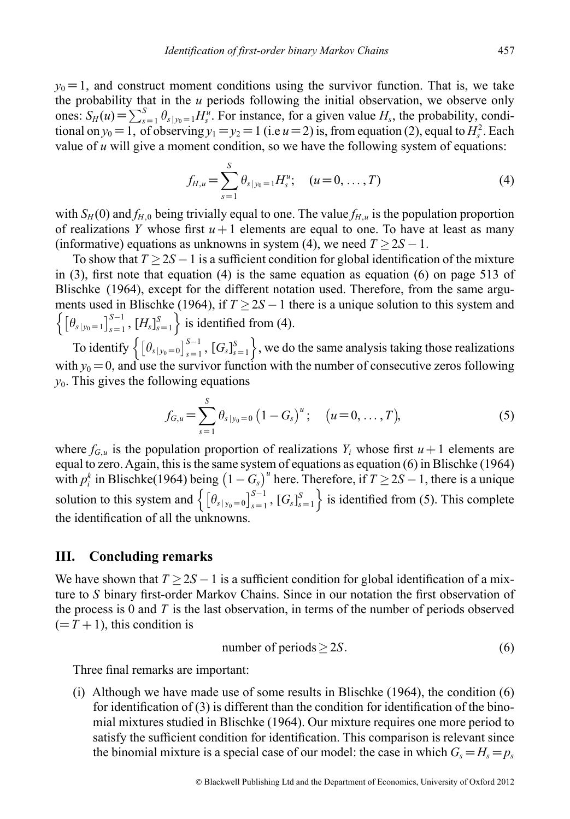$y_0 = 1$ , and construct moment conditions using the survivor function. That is, we take the probability that in the *u* periods following the initial observation, we observe only ones:  $S_H(u) = \sum_{s=1}^S \theta_{s|y_0=1} H_s^u$ . For instance, for a given value  $H_s$ , the probability, conditional on  $y_0 = 1$ , of observing  $y_1 = y_2 = 1$  (i.e  $u = 2$ ) is, from equation (2), equal to  $H_s^2$ . Each value of  $u$  will give a moment condition, so we have the following system of equations:

$$
f_{H,u} = \sum_{s=1}^{S} \theta_{s|y_0=1} H_s^u; \quad (u = 0, \dots, T)
$$
 (4)

with  $S_H(0)$  and  $f_{H,0}$  being trivially equal to one. The value  $f_{H,u}$  is the population proportion of realizations *Y* whose first  $u + 1$  elements are equal to one. To have at least as many (informative) equations as unknowns in system (4), we need  $T > 2S - 1$ .

To show that  $T \geq 2S - 1$  is a sufficient condition for global identification of the mixture in  $(3)$ , first note that equation  $(4)$  is the same equation as equation  $(6)$  on page 513 of Blischke (1964), except for the different notation used. Therefore, from the same arguments used in Blischke (1964), if  $T \geq 2S - 1$  there is a unique solution to this system and  $\left\{ \left[ \theta_{s|y_0=1} \right]_{s=1}^{S-1}, \left[ H_s \right]_{s=1}^{S} \right\}$  is identified from (4).

To identify  $\left\{ \left[ \theta_{s|y_0=0} \right]_{s=1}^{S-1}, \left[ G_s \right]_{s=1}^{S} \right\}$ , we do the same analysis taking those realizations with  $y_0 = 0$ , and use the survivor function with the number of consecutive zeros following *y*0. This gives the following equations

$$
f_{G,u} = \sum_{s=1}^{S} \theta_{s|y_0=0} (1 - G_s)^u; \quad (u = 0, ..., T),
$$
 (5)

where  $f_{G,u}$  is the population proportion of realizations  $Y_i$  whose first  $u + 1$  elements are equal to zero. Again, this is the same system of equations as equation (6) in Blischke (1964) with  $p_i^k$  in Blischke(1964) being  $(1 - G_s)^u$  here. Therefore, if  $T \ge 2S - 1$ , there is a unique solution to this system and  $\left\{ \left[ \theta_{s|y_0=0} \right]_{s=1}^{S-1}, \left[ G_s \right]_{s=1}^S \right\}$  is identified from (5). This complete the identification of all the unknowns.

#### **III. Concluding remarks**

We have shown that  $T \geq 2S - 1$  is a sufficient condition for global identification of a mixture to *S* binary first-order Markov Chains. Since in our notation the first observation of the process is 0 and *T* is the last observation, in terms of the number of periods observed  $(=T+1)$ , this condition is

number of periods 
$$
\geq 2S
$$
. (6)

Three final remarks are important:

(i) Although we have made use of some results in Blischke (1964), the condition (6) for identification of (3) is different than the condition for identification of the binomial mixtures studied in Blischke (1964). Our mixture requires one more period to satisfy the sufficient condition for identification. This comparison is relevant since the binomial mixture is a special case of our model: the case in which  $G_s = H_s = p_s$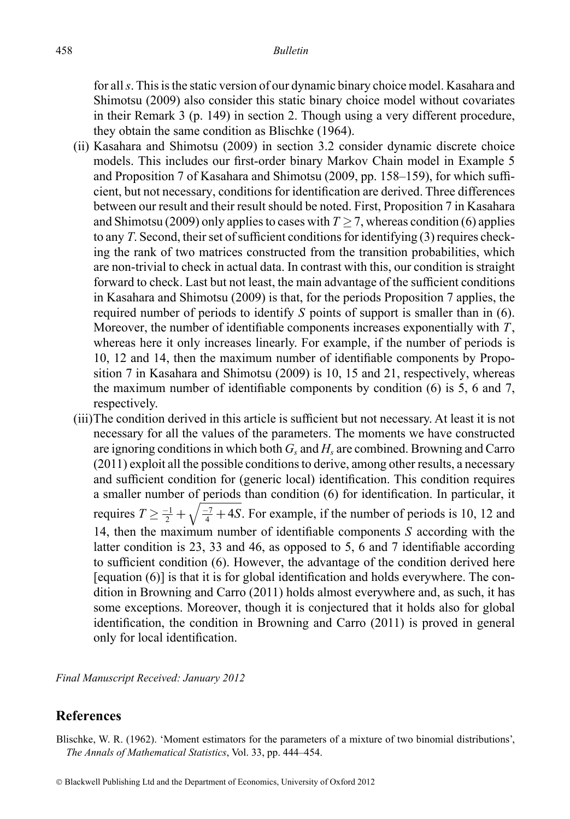for all*s*. This is the static version of our dynamic binary choice model. Kasahara and Shimotsu (2009) also consider this static binary choice model without covariates in their Remark 3 (p. 149) in section 2. Though using a very different procedure, they obtain the same condition as Blischke (1964).

- (ii) Kasahara and Shimotsu (2009) in section 3.2 consider dynamic discrete choice models. This includes our first-order binary Markov Chain model in Example 5 and Proposition 7 of Kasahara and Shimotsu (2009, pp. 158–159), for which sufficient, but not necessary, conditions for identification are derived. Three differences between our result and their result should be noted. First, Proposition 7 in Kasahara and Shimotsu (2009) only applies to cases with  $T \ge 7$ , whereas condition (6) applies to any *T*. Second, their set of sufficient conditions for identifying (3) requires checking the rank of two matrices constructed from the transition probabilities, which are non-trivial to check in actual data. In contrast with this, our condition is straight forward to check. Last but not least, the main advantage of the sufficient conditions in Kasahara and Shimotsu (2009) is that, for the periods Proposition 7 applies, the required number of periods to identify *S* points of support is smaller than in (6). Moreover, the number of identifiable components increases exponentially with *T*, whereas here it only increases linearly. For example, if the number of periods is 10, 12 and 14, then the maximum number of identifiable components by Proposition 7 in Kasahara and Shimotsu (2009) is 10, 15 and 21, respectively, whereas the maximum number of identifiable components by condition (6) is 5, 6 and 7, respectively.
- (iii)The condition derived in this article is sufficient but not necessary. At least it is not necessary for all the values of the parameters. The moments we have constructed are ignoring conditions in which both  $G_s$  and  $H_s$  are combined. Browning and Carro (2011) exploit all the possible conditions to derive, among other results, a necessary and sufficient condition for (generic local) identification. This condition requires a smaller number of periods than condition (6) for identification. In particular, it requires  $T \ge \frac{-1}{2} + \sqrt{\frac{-7}{4} + 4S}$ . For example, if the number of periods is 10, 12 and 14, then the maximum number of identifiable components *S* according with the latter condition is 23, 33 and 46, as opposed to 5, 6 and 7 identifiable according to sufficient condition (6). However, the advantage of the condition derived here [equation (6)] is that it is for global identification and holds everywhere. The condition in Browning and Carro (2011) holds almost everywhere and, as such, it has some exceptions. Moreover, though it is conjectured that it holds also for global identification, the condition in Browning and Carro (2011) is proved in general only for local identification.

*Final Manuscript Received: January 2012*

### **References**

Blischke, W. R. (1962). 'Moment estimators for the parameters of a mixture of two binomial distributions', *The Annals of Mathematical Statistics*, Vol. 33, pp. 444–454.